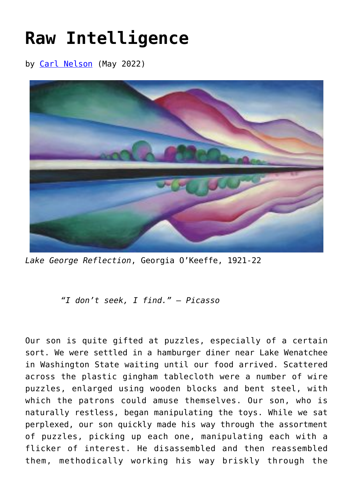## **[Raw Intelligence](https://www.newenglishreview.org/articles/raw-intelligence/)**

by [Carl Nelson](https://www.newenglishreview.org/authors/carl-nelson/) (May 2022)



*Lake George Reflection*, Georgia O'Keeffe, 1921-22

*"I don't seek, I find." – Picasso*

Our son is quite gifted at puzzles, especially of a certain sort. We were settled in a hamburger diner near Lake Wenatchee in Washington State waiting until our food arrived. Scattered across the plastic gingham tablecloth were a number of wire puzzles, enlarged using wooden blocks and bent steel, with which the patrons could amuse themselves. Our son, who is naturally restless, began manipulating the toys. While we sat perplexed, our son quickly made his way through the assortment of puzzles, picking up each one, manipulating each with a flicker of interest. He disassembled and then reassembled them, methodically working his way briskly through the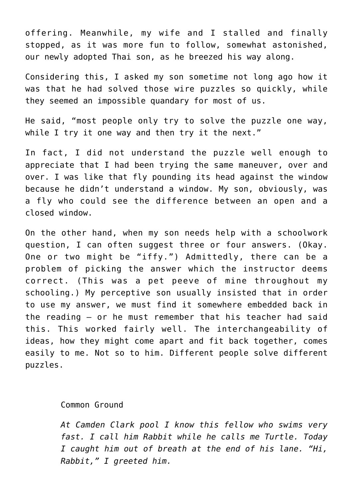offering. Meanwhile, my wife and I stalled and finally stopped, as it was more fun to follow, somewhat astonished, our newly adopted Thai son, as he breezed his way along.

Considering this, I asked my son sometime not long ago how it was that he had solved those wire puzzles so quickly, while they seemed an impossible quandary for most of us.

He said, "most people only try to solve the puzzle one way, while I try it one way and then try it the next."

In fact, I did not understand the puzzle well enough to appreciate that I had been trying the same maneuver, over and over. I was like that fly pounding its head against the window because he didn't understand a window. My son, obviously, was a fly who could see the difference between an open and a closed window.

On the other hand, when my son needs help with a schoolwork question, I can often suggest three or four answers. (Okay. One or two might be "iffy.") Admittedly, there can be a problem of picking the answer which the instructor deems correct. (This was a pet peeve of mine throughout my schooling.) My perceptive son usually insisted that in order to use my answer, we must find it somewhere embedded back in the reading – or he must remember that his teacher had said this. This worked fairly well. The interchangeability of ideas, how they might come apart and fit back together, comes easily to me. Not so to him. Different people solve different puzzles.

## Common Ground

*At Camden Clark pool I know this fellow who swims very fast. I call him Rabbit while he calls me Turtle. Today I caught him out of breath at the end of his lane. "Hi, Rabbit," I greeted him.*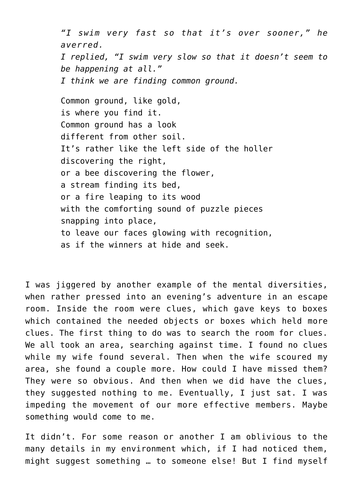*"I swim very fast so that it's over sooner," he averred. I replied, "I swim very slow so that it doesn't seem to be happening at all." I think we are finding common ground.*

Common ground, like gold, is where you find it. Common ground has a look different from other soil. It's rather like the left side of the holler discovering the right, or a bee discovering the flower, a stream finding its bed, or a fire leaping to its wood with the comforting sound of puzzle pieces snapping into place, to leave our faces glowing with recognition, as if the winners at hide and seek.

I was jiggered by another example of the mental diversities, when rather pressed into an evening's adventure in an escape room. Inside the room were clues, which gave keys to boxes which contained the needed objects or boxes which held more clues. The first thing to do was to search the room for clues. We all took an area, searching against time. I found no clues while my wife found several. Then when the wife scoured my area, she found a couple more. How could I have missed them? They were so obvious. And then when we did have the clues, they suggested nothing to me. Eventually, I just sat. I was impeding the movement of our more effective members. Maybe something would come to me.

It didn't. For some reason or another I am oblivious to the many details in my environment which, if I had noticed them, might suggest something … to someone else! But I find myself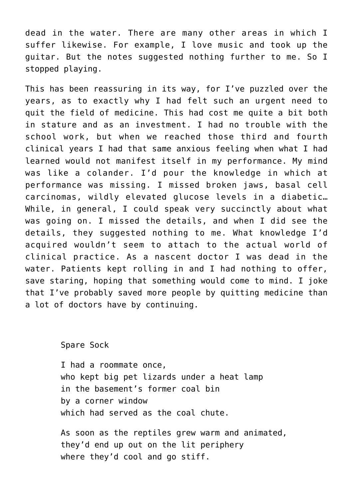dead in the water. There are many other areas in which I suffer likewise. For example, I love music and took up the guitar. But the notes suggested nothing further to me. So I stopped playing.

This has been reassuring in its way, for I've puzzled over the years, as to exactly why I had felt such an urgent need to quit the field of medicine. This had cost me quite a bit both in stature and as an investment. I had no trouble with the school work, but when we reached those third and fourth clinical years I had that same anxious feeling when what I had learned would not manifest itself in my performance. My mind was like a colander. I'd pour the knowledge in which at performance was missing. I missed broken jaws, basal cell carcinomas, wildly elevated glucose levels in a diabetic… While, in general, I could speak very succinctly about what was going on. I missed the details, and when I did see the details, they suggested nothing to me. What knowledge I'd acquired wouldn't seem to attach to the actual world of clinical practice. As a nascent doctor I was dead in the water. Patients kept rolling in and I had nothing to offer, save staring, hoping that something would come to mind. I joke that I've probably saved more people by quitting medicine than a lot of doctors have by continuing.

Spare Sock

I had a roommate once, who kept big pet lizards under a heat lamp in the basement's former coal bin by a corner window which had served as the coal chute.

As soon as the reptiles grew warm and animated, they'd end up out on the lit periphery where they'd cool and go stiff.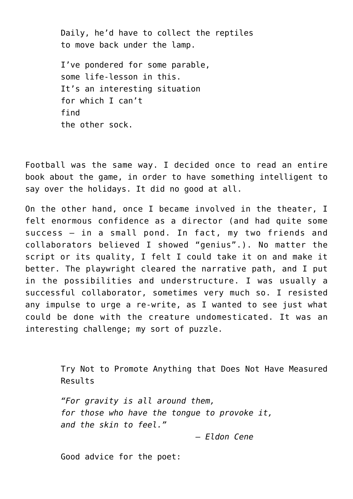Daily, he'd have to collect the reptiles to move back under the lamp.

I've pondered for some parable, some life-lesson in this. It's an interesting situation for which I can't find the other sock.

Football was the same way. I decided once to read an entire book about the game, in order to have something intelligent to say over the holidays. It did no good at all.

On the other hand, once I became involved in the theater, I felt enormous confidence as a director (and had quite some success – in a small pond. In fact, my two friends and collaborators believed I showed "genius".). No matter the script or its quality, I felt I could take it on and make it better. The playwright cleared the narrative path, and I put in the possibilities and understructure. I was usually a successful collaborator, sometimes very much so. I resisted any impulse to urge a re-write, as I wanted to see just what could be done with the creature undomesticated. It was an interesting challenge; my sort of puzzle.

> Try Not to Promote Anything that Does Not Have Measured Results

*"For gravity is all around them, for those who have the tongue to provoke it, and the skin to feel."*

 *– Eldon Cene*

Good advice for the poet: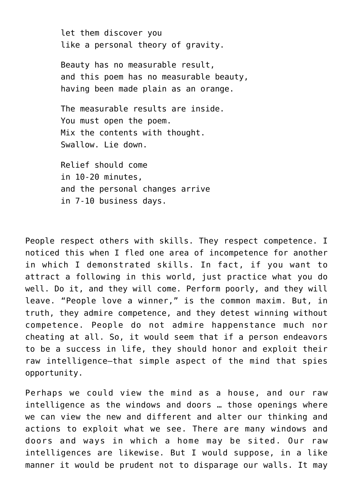let them discover you like a personal theory of gravity.

Beauty has no measurable result, and this poem has no measurable beauty, having been made plain as an orange.

The measurable results are inside. You must open the poem. Mix the contents with thought. Swallow. Lie down.

Relief should come in 10-20 minutes, and the personal changes arrive in 7-10 business days.

People respect others with skills. They respect competence. I noticed this when I fled one area of incompetence for another in which I demonstrated skills. In fact, if you want to attract a following in this world, just practice what you do well. Do it, and they will come. Perform poorly, and they will leave. "People love a winner," is the common maxim. But, in truth, they admire competence, and they detest winning without competence. People do not admire happenstance much nor cheating at all. So, it would seem that if a person endeavors to be a success in life, they should honor and exploit their raw intelligence—that simple aspect of the mind that spies opportunity.

Perhaps we could view the mind as a house, and our raw intelligence as the windows and doors … those openings where we can view the new and different and alter our thinking and actions to exploit what we see. There are many windows and doors and ways in which a home may be sited. Our raw intelligences are likewise. But I would suppose, in a like manner it would be prudent not to disparage our walls. It may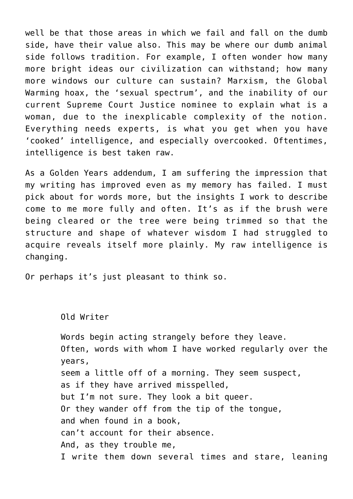well be that those areas in which we fail and fall on the dumb side, have their value also. This may be where our dumb animal side follows tradition. For example, I often wonder how many more bright ideas our civilization can withstand; how many more windows our culture can sustain? Marxism, the Global Warming hoax, the 'sexual spectrum', and the inability of our current Supreme Court Justice nominee to explain what is a woman, due to the inexplicable complexity of the notion. Everything needs experts, is what you get when you have 'cooked' intelligence, and especially overcooked. Oftentimes, intelligence is best taken raw.

As a Golden Years addendum, I am suffering the impression that my writing has improved even as my memory has failed. I must pick about for words more, but the insights I work to describe come to me more fully and often. It's as if the brush were being cleared or the tree were being trimmed so that the structure and shape of whatever wisdom I had struggled to acquire reveals itself more plainly. My raw intelligence is changing.

Or perhaps it's just pleasant to think so.

Old Writer Words begin acting strangely before they leave. Often, words with whom I have worked regularly over the years, seem a little off of a morning. They seem suspect, as if they have arrived misspelled, but I'm not sure. They look a bit queer. Or they wander off from the tip of the tongue, and when found in a book, can't account for their absence. And, as they trouble me, I write them down several times and stare, leaning